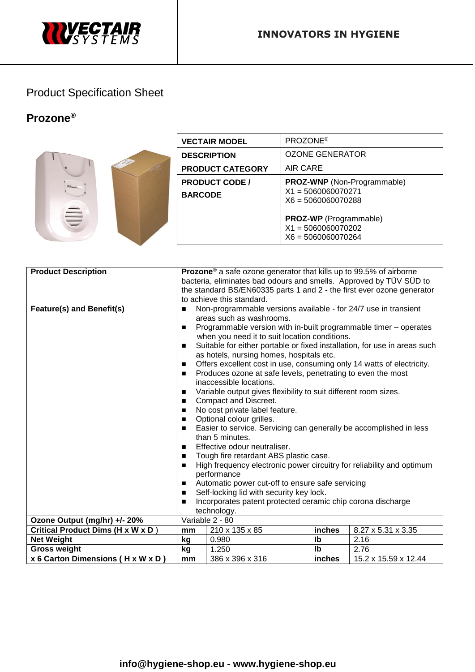

## Product Specification Sheet

## **Prozone®**



| <b>VECTAIR MODEL</b>                    | PROZONE <sup>®</sup>                                                               |
|-----------------------------------------|------------------------------------------------------------------------------------|
| <b>DESCRIPTION</b>                      | OZONE GENERATOR                                                                    |
| <b>PRODUCT CATEGORY</b>                 | AIR CARE                                                                           |
| <b>PRODUCT CODE /</b><br><b>BARCODE</b> | <b>PROZ-WNP</b> (Non-Programmable)<br>$X1 = 5060060070271$<br>$X6 = 5060060070288$ |
|                                         | <b>PROZ-WP</b> (Programmable)<br>$X1 = 5060060070202$<br>$X6 = 5060060070264$      |

| <b>Product Description</b>        | <b>Prozone</b> <sup>®</sup> a safe ozone generator that kills up to 99.5% of airborne                |                                                                                                                                                                                                                                                                                                                                                                                                                                                                                                                                                                                                                                                                                                                                                                                                                                                                                                                                                                                                                                                                                                  |                           |                      |  |
|-----------------------------------|------------------------------------------------------------------------------------------------------|--------------------------------------------------------------------------------------------------------------------------------------------------------------------------------------------------------------------------------------------------------------------------------------------------------------------------------------------------------------------------------------------------------------------------------------------------------------------------------------------------------------------------------------------------------------------------------------------------------------------------------------------------------------------------------------------------------------------------------------------------------------------------------------------------------------------------------------------------------------------------------------------------------------------------------------------------------------------------------------------------------------------------------------------------------------------------------------------------|---------------------------|----------------------|--|
|                                   | bacteria, eliminates bad odours and smells. Approved by TÜV SÜD to                                   |                                                                                                                                                                                                                                                                                                                                                                                                                                                                                                                                                                                                                                                                                                                                                                                                                                                                                                                                                                                                                                                                                                  |                           |                      |  |
|                                   | the standard BS/EN60335 parts 1 and 2 - the first ever ozone generator                               |                                                                                                                                                                                                                                                                                                                                                                                                                                                                                                                                                                                                                                                                                                                                                                                                                                                                                                                                                                                                                                                                                                  |                           |                      |  |
|                                   | to achieve this standard.                                                                            |                                                                                                                                                                                                                                                                                                                                                                                                                                                                                                                                                                                                                                                                                                                                                                                                                                                                                                                                                                                                                                                                                                  |                           |                      |  |
| Feature(s) and Benefit(s)         | $\blacksquare$<br>п<br>п<br>п<br>$\blacksquare$<br>п<br>п<br>п<br>п<br>п<br>$\blacksquare$<br>п<br>■ | Non-programmable versions available - for 24/7 use in transient<br>areas such as washrooms.<br>Programmable version with in-built programmable timer - operates<br>when you need it to suit location conditions.<br>Suitable for either portable or fixed installation, for use in areas such<br>as hotels, nursing homes, hospitals etc.<br>Offers excellent cost in use, consuming only 14 watts of electricity.<br>Produces ozone at safe levels, penetrating to even the most<br>inaccessible locations.<br>Variable output gives flexibility to suit different room sizes.<br>Compact and Discreet.<br>No cost private label feature.<br>Optional colour grilles.<br>Easier to service. Servicing can generally be accomplished in less<br>than 5 minutes.<br>Effective odour neutraliser.<br>Tough fire retardant ABS plastic case.<br>High frequency electronic power circuitry for reliability and optimum<br>performance<br>Automatic power cut-off to ensure safe servicing<br>Self-locking lid with security key lock.<br>Incorporates patent protected ceramic chip corona discharge |                           |                      |  |
| Ozone Output (mg/hr) +/- 20%      | technology.<br>Variable 2 - 80                                                                       |                                                                                                                                                                                                                                                                                                                                                                                                                                                                                                                                                                                                                                                                                                                                                                                                                                                                                                                                                                                                                                                                                                  |                           |                      |  |
| Critical Product Dims (H x W x D) | mm                                                                                                   | 210 x 135 x 85                                                                                                                                                                                                                                                                                                                                                                                                                                                                                                                                                                                                                                                                                                                                                                                                                                                                                                                                                                                                                                                                                   | inches                    | 8.27 x 5.31 x 3.35   |  |
| <b>Net Weight</b>                 | kg                                                                                                   | 0.980                                                                                                                                                                                                                                                                                                                                                                                                                                                                                                                                                                                                                                                                                                                                                                                                                                                                                                                                                                                                                                                                                            | $\mathsf{I}^{\mathsf{b}}$ | 2.16                 |  |
| <b>Gross weight</b>               | kg                                                                                                   | 1.250                                                                                                                                                                                                                                                                                                                                                                                                                                                                                                                                                                                                                                                                                                                                                                                                                                                                                                                                                                                                                                                                                            | Ib                        | 2.76                 |  |
| x 6 Carton Dimensions (H x W x D) | mm                                                                                                   | 386 x 396 x 316                                                                                                                                                                                                                                                                                                                                                                                                                                                                                                                                                                                                                                                                                                                                                                                                                                                                                                                                                                                                                                                                                  | inches                    | 15.2 x 15.59 x 12.44 |  |